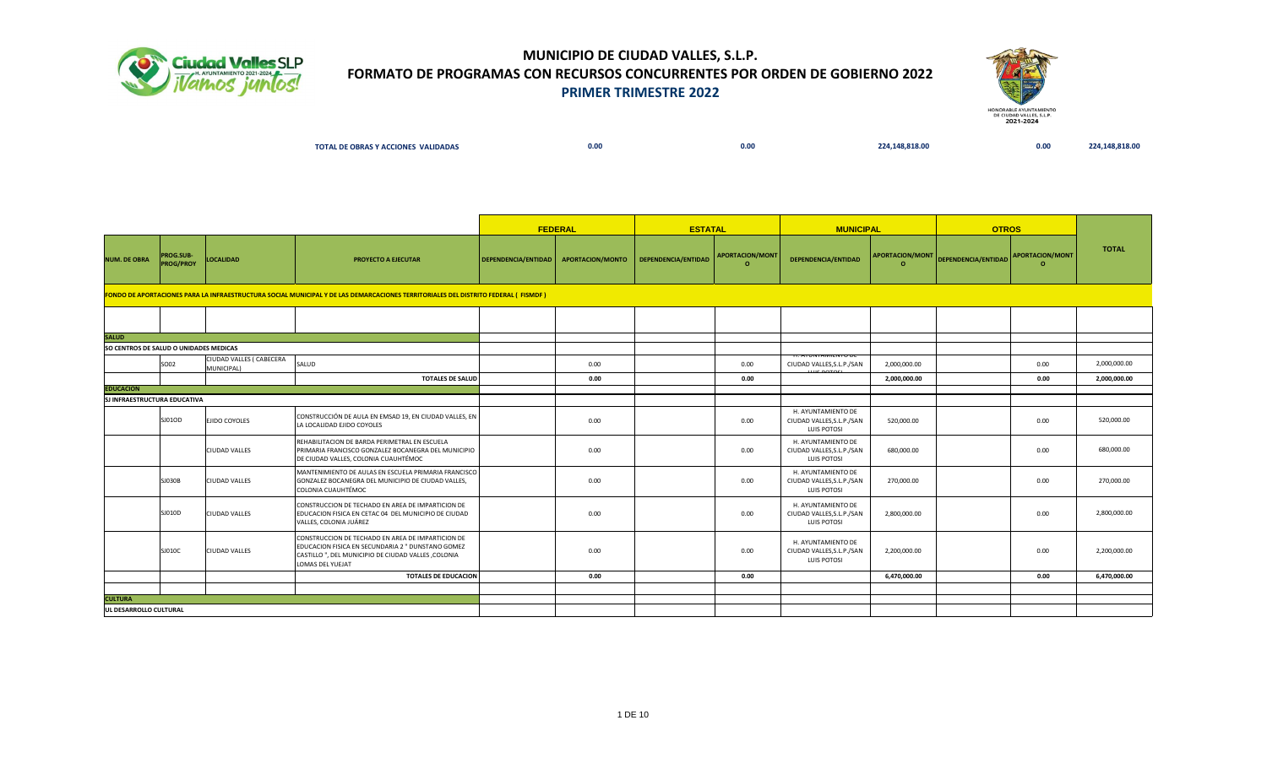



| TOTAL DE OBRAS Y ACCIONES VALIDADAS | 0.00 | 0.00 | .148.818.00<br>the contract of the contract of the contract of the contract of the contract of | 0.00 | 148 818 00 |
|-------------------------------------|------|------|------------------------------------------------------------------------------------------------|------|------------|
|                                     |      |      |                                                                                                |      |            |

|                                        |                               |                                        |                                                                                                                                                                                  |                     | <b>FEDERAL</b>          | <b>ESTATAL</b>      |                                    | <b>MUNICIPAL</b>                                                |                                    | <b>OTROS</b>        |                                    |              |
|----------------------------------------|-------------------------------|----------------------------------------|----------------------------------------------------------------------------------------------------------------------------------------------------------------------------------|---------------------|-------------------------|---------------------|------------------------------------|-----------------------------------------------------------------|------------------------------------|---------------------|------------------------------------|--------------|
| <b>NUM. DE OBRA</b>                    | PROG.SUB-<br><b>PROG/PROY</b> | <b>LOCALIDAD</b>                       | PROYECTO A EJECUTAR                                                                                                                                                              | DEPENDENCIA/ENTIDAD | <b>APORTACION/MONTO</b> | DEPENDENCIA/ENTIDAD | <b>APORTACION/MONT</b><br>$\Omega$ | DEPENDENCIA/ENTIDAD                                             | <b>APORTACION/MONT</b><br>$\Omega$ | DEPENDENCIA/ENTIDAD | <b>APORTACION/MONT</b><br>$\Omega$ | <b>TOTAL</b> |
|                                        |                               |                                        | FONDO DE APORTACIONES PARA LA INFRAESTRUCTURA SOCIAL MUNICIPAL Y DE LAS DEMARCACIONES TERRITORIALES DEL DISTRITO FEDERAL (FISMDF)                                                |                     |                         |                     |                                    |                                                                 |                                    |                     |                                    |              |
|                                        |                               |                                        |                                                                                                                                                                                  |                     |                         |                     |                                    |                                                                 |                                    |                     |                                    |              |
| <b>SALUD</b>                           |                               |                                        |                                                                                                                                                                                  |                     |                         |                     |                                    |                                                                 |                                    |                     |                                    |              |
| SO CENTROS DE SALUD O UNIDADES MEDICAS |                               |                                        |                                                                                                                                                                                  |                     |                         |                     |                                    |                                                                 |                                    |                     |                                    |              |
|                                        | SO02                          | CIUDAD VALLES ( CABECERA<br>MUNICIPAL) | SALUD                                                                                                                                                                            |                     | 0.00                    |                     | 0.00                               | H. AYUNTAMIENTU DE<br>CIUDAD VALLES, S.L.P./SAN<br>$LHC$ BOTOCL | 2,000,000.00                       |                     | 0.00                               | 2,000,000.00 |
|                                        |                               |                                        | <b>TOTALES DE SALUD</b>                                                                                                                                                          |                     | 0.00                    |                     | 0.00                               |                                                                 | 2,000,000.00                       |                     | 0.00                               | 2,000,000.00 |
| <b>EDUCACION</b>                       |                               |                                        |                                                                                                                                                                                  |                     |                         |                     |                                    |                                                                 |                                    |                     |                                    |              |
| <b>SJ INFRAESTRUCTURA EDUCATIVA</b>    |                               |                                        |                                                                                                                                                                                  |                     |                         |                     |                                    |                                                                 |                                    |                     |                                    |              |
|                                        | SJ01OD                        | EJIDO COYOLES                          | CONSTRUCCIÓN DE AULA EN EMSAD 19, EN CIUDAD VALLES, EN<br>LA LOCALIDAD EJIDO COYOLES                                                                                             |                     | 0.00                    |                     | 0.00                               | H. AYUNTAMIENTO DE<br>CIUDAD VALLES, S.L.P./SAN<br>LUIS POTOSI  | 520,000.00                         |                     | 0.00                               | 520,000.00   |
|                                        |                               | <b>CIUDAD VALLES</b>                   | REHABILITACION DE BARDA PERIMETRAL EN ESCUELA<br>PRIMARIA FRANCISCO GONZALEZ BOCANEGRA DEL MUNICIPIO<br>DE CIUDAD VALLES, COLONIA CUAUHTÉMOC                                     |                     | 0.00                    |                     | 0.00                               | H. AYUNTAMIENTO DE<br>CIUDAD VALLES, S.L.P./SAN<br>LUIS POTOSI  | 680,000.00                         |                     | 0.00                               | 680,000.00   |
|                                        | SJ030B                        | <b>CIUDAD VALLES</b>                   | MANTENIMIENTO DE AULAS EN ESCUELA PRIMARIA FRANCISCO<br>GONZALEZ BOCANEGRA DEL MUNICIPIO DE CIUDAD VALLES,<br>COLONIA CUAUHTÉMOC                                                 |                     | 0.00                    |                     | 0.00                               | H. AYUNTAMIENTO DE<br>CIUDAD VALLES, S.L.P./SAN<br>LUIS POTOSI  | 270,000.00                         |                     | 0.00                               | 270,000.00   |
|                                        | SJ010D                        | <b>CIUDAD VALLES</b>                   | CONSTRUCCION DE TECHADO EN AREA DE IMPARTICION DE<br>EDUCACION FISICA EN CETAC 04 DEL MUNICIPIO DE CIUDAD<br>VALLES, COLONIA JUÁREZ                                              |                     | 0.00                    |                     | 0.00                               | H. AYUNTAMIENTO DE<br>CIUDAD VALLES, S.L.P./SAN<br>LUIS POTOSI  | 2,800,000.00                       |                     | 0.00                               | 2,800,000.00 |
|                                        | SJ010C                        | <b>CIUDAD VALLES</b>                   | CONSTRUCCION DE TECHADO EN AREA DE IMPARTICION DE<br>EDUCACION FISICA EN SECUNDARIA 2 " DUNSTANO GOMEZ<br>CASTILLO", DEL MUNICIPIO DE CIUDAD VALLES, COLONIA<br>LOMAS DEL YUEJAT |                     | 0.00                    |                     | 0.00                               | H. AYUNTAMIENTO DE<br>CIUDAD VALLES, S.L.P./SAN<br>LUIS POTOSI  | 2,200,000.00                       |                     | 0.00                               | 2,200,000.00 |
|                                        |                               |                                        | <b>TOTALES DE EDUCACION</b>                                                                                                                                                      |                     | 0.00                    |                     | 0.00                               |                                                                 | 6,470,000.00                       |                     | 0.00                               | 6,470,000.00 |
|                                        |                               |                                        |                                                                                                                                                                                  |                     |                         |                     |                                    |                                                                 |                                    |                     |                                    |              |
| <b>CULTURA</b>                         |                               |                                        |                                                                                                                                                                                  |                     |                         |                     |                                    |                                                                 |                                    |                     |                                    |              |
| <b>UL DESARROLLO CULTURAL</b>          |                               |                                        |                                                                                                                                                                                  |                     |                         |                     |                                    |                                                                 |                                    |                     |                                    |              |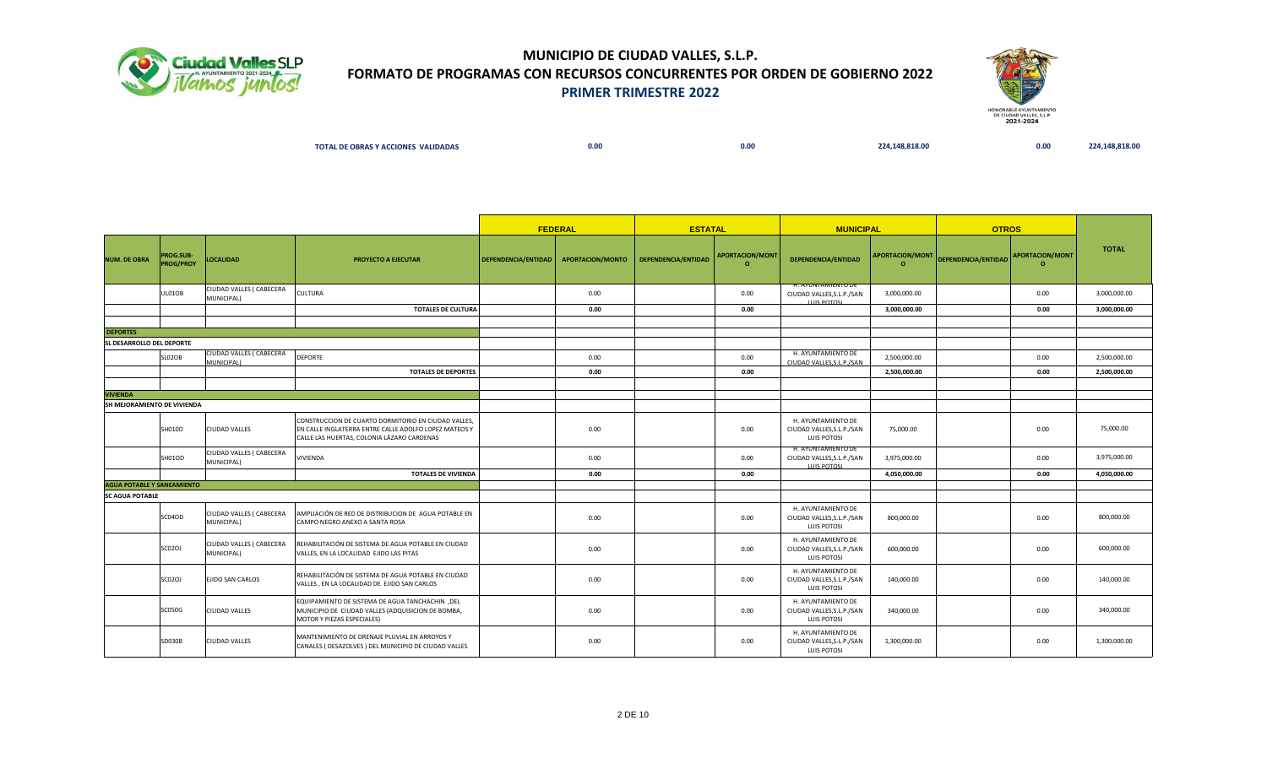



| <b>TOTAL DE OBRAS Y ACCIONES</b><br><b>S VALIDADAS</b> | 0.00 | $\sim$<br>v.vu | 48.818.00<br>- 21 | 0.00 | ____ |
|--------------------------------------------------------|------|----------------|-------------------|------|------|
|                                                        |      |                |                   |      |      |

|                                   |                                      |                                        |                                                                                                                                                            |                     | <b>FEDERAL</b>   | <b>ESTATAL</b>      |                             | <b>MUNICIPAL</b>                                                      |                             | <b>OTROS</b>                        |          |              |
|-----------------------------------|--------------------------------------|----------------------------------------|------------------------------------------------------------------------------------------------------------------------------------------------------------|---------------------|------------------|---------------------|-----------------------------|-----------------------------------------------------------------------|-----------------------------|-------------------------------------|----------|--------------|
| <b>NUM. DE OBRA</b>               | <b>PROG.SUB-</b><br><b>PROG/PROY</b> | <b>LOCALIDAD</b>                       | <b>PROYECTO A EJECUTAR</b>                                                                                                                                 | DEPENDENCIA/ENTIDAD | APORTACION/MONTO | DEPENDENCIA/ENTIDAD | APORTACION/MONT<br>$\Omega$ | DEPENDENCIA/ENTIDAD                                                   | APORTACION/MONT<br>$\Omega$ | DEPENDENCIA/ENTIDAD APORTACION/MONT | $\Omega$ | <b>TOTAL</b> |
|                                   | UL01OB                               | CIUDAD VALLES ( CABECERA<br>MUNICIPAL) | <b>CULTURA</b>                                                                                                                                             |                     | 0.00             |                     | 0.00                        | H. AYUNTAMIENTO DE<br>CIUDAD VALLES, S.L.P./SAN                       | 3,000,000.00                |                                     | 0.00     | 3,000,000.00 |
|                                   |                                      |                                        | <b>TOTALES DE CULTURA</b>                                                                                                                                  |                     | 0.00             |                     | 0.00                        | <b>LLUC DOTOSI</b>                                                    | 3,000,000.00                |                                     | 0.00     | 3,000,000.00 |
|                                   |                                      |                                        |                                                                                                                                                            |                     |                  |                     |                             |                                                                       |                             |                                     |          |              |
| <b>DEPORTES</b>                   |                                      |                                        |                                                                                                                                                            |                     |                  |                     |                             |                                                                       |                             |                                     |          |              |
| <b>SL DESARROLLO DEL DEPORTE</b>  |                                      |                                        |                                                                                                                                                            |                     |                  |                     |                             |                                                                       |                             |                                     |          |              |
|                                   | SLO2OB                               | CIUDAD VALLES ( CABECERA<br>MUNICIPAL) | <b>DEPORTE</b>                                                                                                                                             |                     | 0.00             |                     | 0.00                        | H. AYUNTAMIENTO DE<br>CIUDAD VALLES, S.L.P./SAN                       | 2,500,000.00                |                                     | 0.00     | 2,500,000.00 |
|                                   |                                      |                                        | <b>TOTALES DE DEPORTES</b>                                                                                                                                 |                     | 0.00             |                     | 0.00                        |                                                                       | 2,500,000.00                |                                     | 0.00     | 2,500,000.00 |
|                                   |                                      |                                        |                                                                                                                                                            |                     |                  |                     |                             |                                                                       |                             |                                     |          |              |
| <b>VIVIENDA</b>                   |                                      |                                        |                                                                                                                                                            |                     |                  |                     |                             |                                                                       |                             |                                     |          |              |
| SH MEJORAMIENTO DE VIVIENDA       |                                      |                                        |                                                                                                                                                            |                     |                  |                     |                             |                                                                       |                             |                                     |          |              |
|                                   | SH010D                               | CIUDAD VALLES                          | CONSTRUCCION DE CUARTO DORMITORIO EN CIUDAD VALLES,<br>EN CALLE INGLATERRA ENTRE CALLE ADOLFO LOPEZ MATEOS Y<br>CALLE LAS HUERTAS, COLONIA LÁZARO CARDENAS |                     | 0.00             |                     | 0.00                        | H. AYUNTAMIENTO DE<br>CIUDAD VALLES, S.L.P./SAN<br><b>LUIS POTOSI</b> | 75,000.00                   |                                     | 0.00     | 75,000.00    |
|                                   | SH01OD                               | CIUDAD VALLES ( CABECERA<br>MUNICIPAL) | <b>VIVIENDA</b>                                                                                                                                            |                     | 0.00             |                     | 0.00                        | H. AYUNTAMIENTO DE<br>CIUDAD VALLES, S.L.P./SAN<br><b>LUIS POTOSL</b> | 3,975,000.00                |                                     | 0.00     | 3,975,000.00 |
|                                   |                                      |                                        | <b>TOTALES DE VIVIENDA</b>                                                                                                                                 |                     | 0.00             |                     | 0.00                        |                                                                       | 4,050,000.00                |                                     | 0.00     | 4,050,000.00 |
| <b>AGUA POTABLE Y SANEAMIENTO</b> |                                      |                                        |                                                                                                                                                            |                     |                  |                     |                             |                                                                       |                             |                                     |          |              |
| <b>SC AGUA POTABLE</b>            |                                      |                                        |                                                                                                                                                            |                     |                  |                     |                             |                                                                       |                             |                                     |          |              |
|                                   | SC04OD                               | CIUDAD VALLES ( CABECERA<br>MUNICIPAL) | AMPLIACIÓN DE RED DE DISTRIBUCION DE AGUA POTABLE EN<br>CAMPO NEGRO ANEXO A SANTA ROSA                                                                     |                     | 0.00             |                     | 0.00                        | H. AYUNTAMIENTO DE<br>CIUDAD VALLES, S.L.P./SAN<br>LUIS POTOSI        | 800,000.00                  |                                     | 0.00     | 800,000.00   |
|                                   | <b>SC02OJ</b>                        | CIUDAD VALLES ( CABECERA<br>MUNICIPAL) | REHABILITACIÓN DE SISTEMA DE AGUA POTABLE EN CIUDAD<br>VALLES, EN LA LOCALIDAD EJIDO LAS PITAS                                                             |                     | 0.00             |                     | 0.00                        | H. AYUNTAMIENTO DE<br>CIUDAD VALLES, S.L.P./SAN<br>LUIS POTOSI        | 600,000.00                  |                                     | 0.00     | 600,000.00   |
|                                   | SC02OJ                               | EJIDO SAN CARLOS                       | REHABILITACIÓN DE SISTEMA DE AGUA POTABLE EN CIUDAD<br>VALLES, EN LA LOCALIDAD DE EJIDO SAN CARLOS                                                         |                     | 0.00             |                     | 0.00                        | H. AYUNTAMIENTO DE<br>CIUDAD VALLES, S.L.P./SAN<br><b>LUIS POTOSI</b> | 140,000.00                  |                                     | 0.00     | 140,000.00   |
|                                   | <b>SC050G</b>                        | CIUDAD VALLES                          | <b>EQUIPAMIENTO DE SISTEMA DE AGUA TANCHACHIN</b> .DEL<br>MUNICIPIO DE CIUDAD VALLES (ADQUISICION DE BOMBA,<br>MOTOR Y PIEZAS ESPECIALES)                  |                     | 0.00             |                     | 0.00                        | H. AYUNTAMIENTO DE<br>CIUDAD VALLES, S.L.P./SAN<br>LUIS POTOSI        | 340,000.00                  |                                     | 0.00     | 340,000.00   |
|                                   | SD030B                               | CIUDAD VALLES                          | MANTENIMIENTO DE DRENAJE PLUVIAL EN ARROYOS Y<br>CANALES (DESAZOLVES) DEL MUNICIPIO DE CIUDAD VALLES                                                       |                     | 0.00             |                     | 0.00                        | H. AYUNTAMIENTO DE<br>CIUDAD VALLES, S.L.P./SAN<br><b>LUIS POTOSI</b> | 1,300,000.00                |                                     | 0.00     | 1,300,000.00 |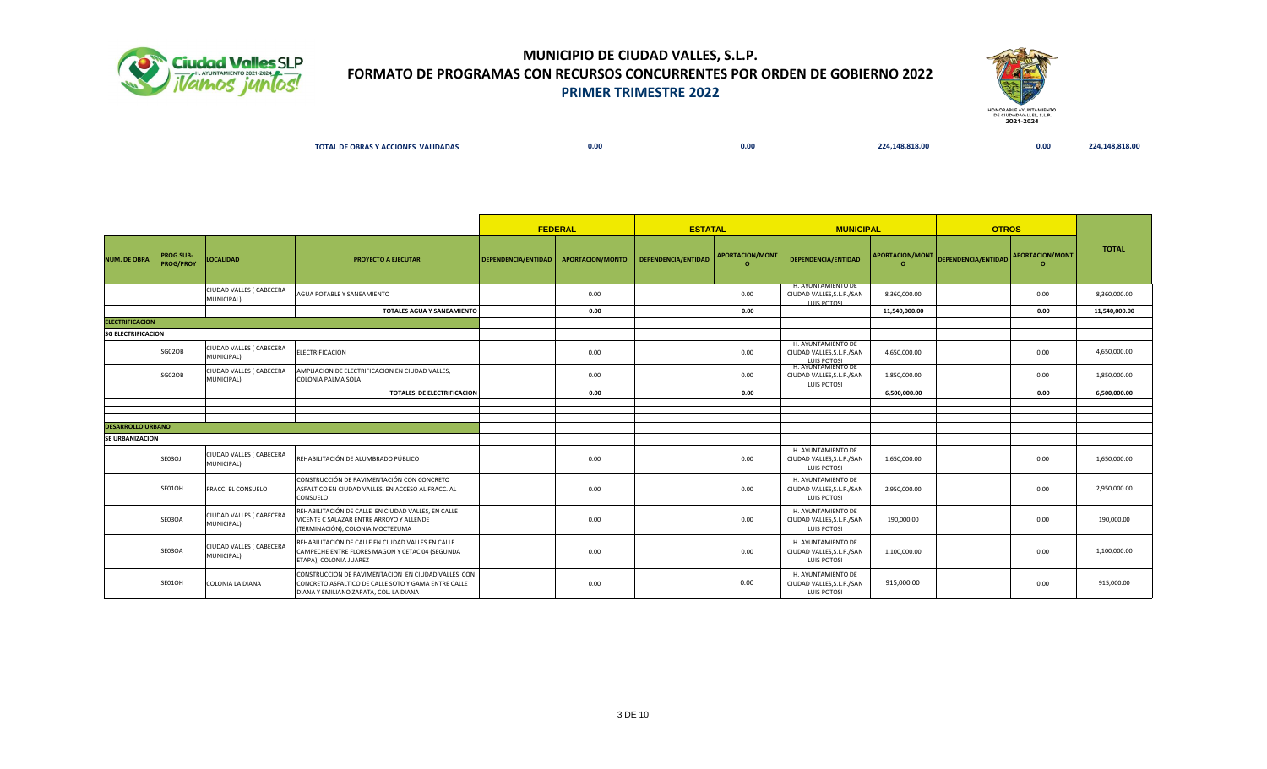



| TOTAL DE OBRAS Y ACCIONES VALIDADAS | 0.00 | 0.00<br>. | 224.148.818.00 | 0.00 | 224.148.818.00 |
|-------------------------------------|------|-----------|----------------|------|----------------|
|                                     |      |           |                |      |                |

|                           |                                      |                                        |                                                                                                                                                     |                     | <b>FEDERAL</b>          | <b>ESTATAL</b>      |                                    | <b>MUNICIPAL</b>                                                                            |                                    | <b>OTROS</b>        |                                    |               |
|---------------------------|--------------------------------------|----------------------------------------|-----------------------------------------------------------------------------------------------------------------------------------------------------|---------------------|-------------------------|---------------------|------------------------------------|---------------------------------------------------------------------------------------------|------------------------------------|---------------------|------------------------------------|---------------|
| <b>NUM. DE OBRA</b>       | <b>PROG.SUB-</b><br><b>PROG/PROY</b> | <b>LOCALIDAD</b>                       | PROYECTO A EJECUTAR                                                                                                                                 | DEPENDENCIA/ENTIDAD | <b>APORTACION/MONTO</b> | DEPENDENCIA/ENTIDAD | <b>APORTACION/MONT</b><br>$\Omega$ | DEPENDENCIA/ENTIDAD                                                                         | <b>APORTACION/MONT</b><br>$\Omega$ | DEPENDENCIA/ENTIDAD | <b>APORTACION/MONT</b><br>$\Omega$ | <b>TOTAL</b>  |
|                           |                                      | CIUDAD VALLES ( CABECERA<br>MUNICIPAL) | AGUA POTABLE Y SANEAMIENTO                                                                                                                          |                     | 0.00                    |                     | 0.00                               | H. AYUNTAMIENTO DE<br>CIUDAD VALLES, S.L.P./SAN<br><b>LUIS POTOSL</b>                       | 8,360,000.00                       |                     | 0.00                               | 8,360,000.00  |
|                           |                                      |                                        | <b>TOTALES AGUA Y SANEAMIENTO</b>                                                                                                                   |                     | 0.00                    |                     | 0.00                               |                                                                                             | 11,540,000.00                      |                     | 0.00                               | 11,540,000.00 |
| <b>ELECTRIFICACION</b>    |                                      |                                        |                                                                                                                                                     |                     |                         |                     |                                    |                                                                                             |                                    |                     |                                    |               |
| <b>SG ELECTRIFICACION</b> |                                      |                                        |                                                                                                                                                     |                     |                         |                     |                                    |                                                                                             |                                    |                     |                                    |               |
|                           | SG02OB                               | CIUDAD VALLES ( CABECERA<br>MUNICIPAL) | <b>ELECTRIFICACION</b>                                                                                                                              |                     | 0.00                    |                     | 0.00                               | H. AYUNTAMIENTO DE<br>CIUDAD VALLES, S.L.P./SAN<br><b>LUIS POTOSI</b><br>H. AYUNTAMIENTO DE | 4,650,000.00                       |                     | 0.00                               | 4,650,000.00  |
|                           | SG02OB                               | CIUDAD VALLES ( CABECERA<br>MUNICIPAL) | AMPLIACION DE ELECTRIFICACION EN CIUDAD VALLES.<br>COLONIA PALMA SOLA                                                                               |                     | 0.00                    |                     | 0.00                               | CIUDAD VALLES, S.L.P./SAN<br><b>LUIS POTOSI</b>                                             | 1,850,000.00                       |                     | 0.00                               | 1,850,000.00  |
|                           |                                      |                                        | <b>TOTALES DE ELECTRIFICACION</b>                                                                                                                   |                     | 0.00                    |                     | 0.00                               |                                                                                             | 6,500,000.00                       |                     | 0.00                               | 6,500,000.00  |
|                           |                                      |                                        |                                                                                                                                                     |                     |                         |                     |                                    |                                                                                             |                                    |                     |                                    |               |
|                           |                                      |                                        |                                                                                                                                                     |                     |                         |                     |                                    |                                                                                             |                                    |                     |                                    |               |
| <b>DESARROLLO URBANO</b>  |                                      |                                        |                                                                                                                                                     |                     |                         |                     |                                    |                                                                                             |                                    |                     |                                    |               |
| <b>SE URBANIZACION</b>    |                                      |                                        |                                                                                                                                                     |                     |                         |                     |                                    |                                                                                             |                                    |                     |                                    |               |
|                           | <b>SE03OJ</b>                        | CIUDAD VALLES ( CABECERA<br>MUNICIPAL) | REHABILITACIÓN DE ALUMBRADO PÚBLICO                                                                                                                 |                     | 0.00                    |                     | 0.00                               | H. AYUNTAMIENTO DE<br>CIUDAD VALLES, S.L.P./SAN<br>LUIS POTOSI                              | 1,650,000.00                       |                     | 0.00                               | 1,650,000.00  |
|                           | SE01OH                               | FRACC. EL CONSUELO                     | CONSTRUCCIÓN DE PAVIMENTACIÓN CON CONCRETO<br>ASFALTICO EN CIUDAD VALLES, EN ACCESO AL FRACC. AL<br>CONSUELO                                        |                     | 0.00                    |                     | 0.00                               | H. AYUNTAMIENTO DE<br>CIUDAD VALLES, S.L.P./SAN<br><b>LUIS POTOSI</b>                       | 2,950,000.00                       |                     | 0.00                               | 2,950,000.00  |
|                           | <b>SE03OA</b>                        | CIUDAD VALLES ( CABECERA<br>MUNICIPAL) | REHABILITACIÓN DE CALLE EN CIUDAD VALLES, EN CALLE<br>VICENTE C SALAZAR ENTRE ARROYO Y ALLENDE<br>(TERMINACIÓN), COLONIA MOCTEZUMA                  |                     | 0.00                    |                     | 0.00                               | H. AYUNTAMIENTO DE<br>CIUDAD VALLES, S.L.P./SAN<br>LUIS POTOSI                              | 190,000.00                         |                     | 0.00                               | 190,000.00    |
|                           | <b>SE03OA</b>                        | CIUDAD VALLES ( CABECERA<br>MUNICIPAL) | REHABILITACIÓN DE CALLE EN CIUDAD VALLES EN CALLE<br>CAMPECHE ENTRE FLORES MAGON Y CETAC 04 (SEGUNDA<br>ETAPA), COLONIA JUAREZ                      |                     | 0.00                    |                     | 0.00                               | H. AYUNTAMIENTO DE<br>CIUDAD VALLES, S.L.P./SAN<br>LUIS POTOSI                              | 1,100,000.00                       |                     | 0.00                               | 1,100,000.00  |
|                           | SE01OH                               | COLONIA LA DIANA                       | CONSTRUCCION DE PAVIMENTACION EN CIUDAD VALLES CON<br>CONCRETO ASFALTICO DE CALLE SOTO Y GAMA ENTRE CALLE<br>DIANA Y EMILIANO ZAPATA, COL. LA DIANA |                     | 0.00                    |                     | 0.00                               | H. AYUNTAMIENTO DE<br>CIUDAD VALLES, S.L.P./SAN<br>LUIS POTOSI                              | 915,000.00                         |                     | 0.00                               | 915,000.00    |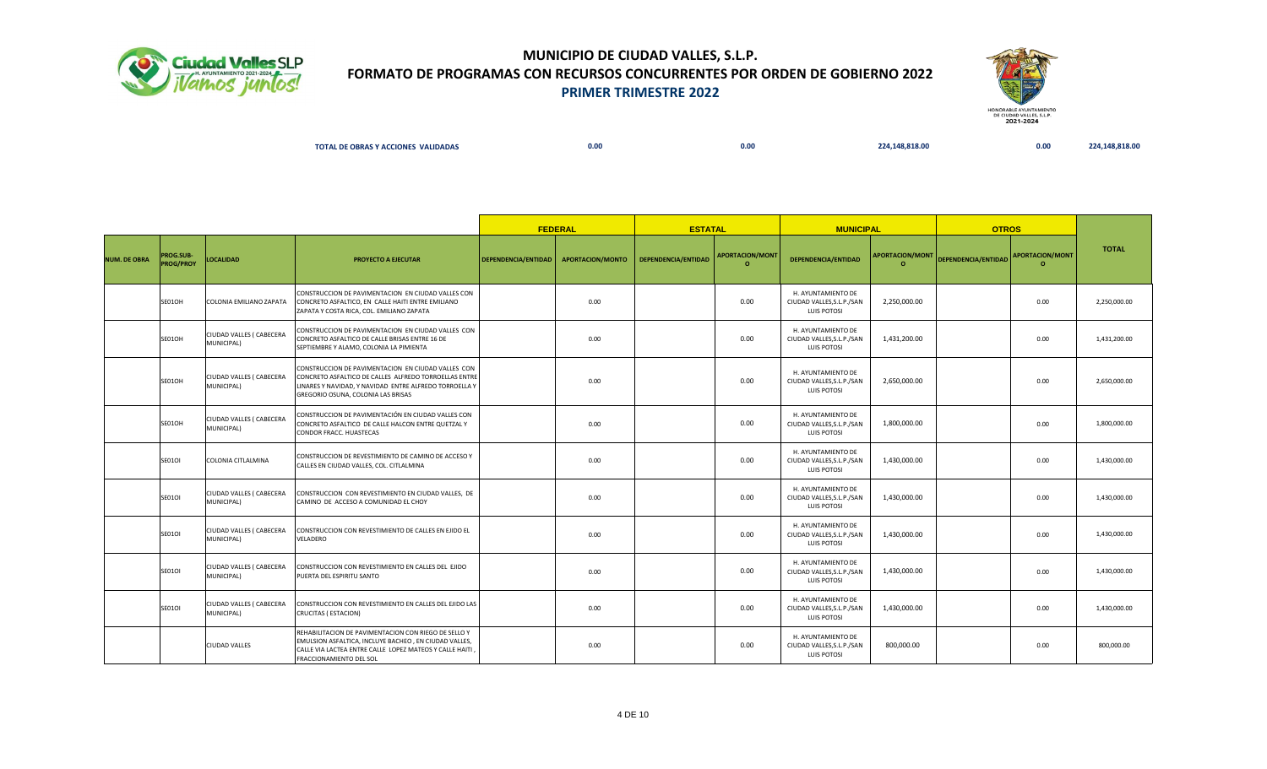



| <b>L DE OBRAS Y ACCIONES</b><br>S VALIDADAS<br>TOTA | 0.00 | 0.00 | 148.818.00<br>,,, | 0.00 |  |
|-----------------------------------------------------|------|------|-------------------|------|--|
|                                                     |      |      |                   |      |  |

|                     |                               |                                        |                                                                                                                                                                                                             |                     | <b>FEDERAL</b>   | <b>ESTATAL</b>      |                                    | <b>MUNICIPAL</b>                                                      |                                    | <b>OTROS</b>        |                                   |              |
|---------------------|-------------------------------|----------------------------------------|-------------------------------------------------------------------------------------------------------------------------------------------------------------------------------------------------------------|---------------------|------------------|---------------------|------------------------------------|-----------------------------------------------------------------------|------------------------------------|---------------------|-----------------------------------|--------------|
| <b>NUM. DE OBRA</b> | PROG.SUB-<br><b>PROG/PROY</b> | <b>LOCALIDAD</b>                       | PROYECTO A EJECUTAR                                                                                                                                                                                         | DEPENDENCIA/ENTIDAD | APORTACION/MONTO | DEPENDENCIA/ENTIDAD | <b>APORTACION/MONT</b><br>$\Omega$ | DEPENDENCIA/ENTIDAD                                                   | <b>APORTACION/MONT</b><br>$\Omega$ | DEPENDENCIA/ENTIDAD | <b>APORTACION/MONT</b><br>$\circ$ | <b>TOTAL</b> |
|                     | SE01OH                        | COLONIA EMILIANO ZAPATA                | CONSTRUCCION DE PAVIMENTACION EN CIUDAD VALLES CON<br>CONCRETO ASFALTICO, EN CALLE HAITI ENTRE EMILIANO<br>ZAPATA Y COSTA RICA, COL. EMILIANO ZAPATA                                                        |                     | 0.00             |                     | 0.00                               | H. AYUNTAMIENTO DE<br>CIUDAD VALLES, S.L.P./SAN<br>LUIS POTOSI        | 2,250,000.00                       |                     | 0.00                              | 2,250,000.00 |
|                     | SE01OH                        | CIUDAD VALLES ( CABECERA<br>MUNICIPAL) | CONSTRUCCION DE PAVIMENTACION EN CIUDAD VALLES CON<br>CONCRETO ASFALTICO DE CALLE BRISAS ENTRE 16 DE<br>SEPTIEMBRE Y ALAMO, COLONIA LA PIMIENTA                                                             |                     | 0.00             |                     | 0.00                               | H. AYUNTAMIENTO DE<br>CIUDAD VALLES, S.L.P./SAN<br><b>LUIS POTOSI</b> | 1,431,200.00                       |                     | 0.00                              | 1,431,200.00 |
|                     | SE01OH                        | CIUDAD VALLES ( CABECERA<br>MUNICIPAL) | CONSTRUCCION DE PAVIMENTACION EN CIUDAD VALLES CON<br>CONCRETO ASFALTICO DE CALLES ALFREDO TORROELLAS ENTRE<br>LINARES Y NAVIDAD, Y NAVIDAD ENTRE ALFREDO TORROELLA Y<br>GREGORIO OSUNA, COLONIA LAS BRISAS |                     | 0.00             |                     | 0.00                               | H. AYUNTAMIENTO DE<br>CIUDAD VALLES, S.L.P./SAN<br>LUIS POTOSI        | 2,650,000.00                       |                     | 0.00                              | 2,650,000.00 |
|                     | SE01OH                        | CIUDAD VALLES ( CABECERA<br>MUNICIPAL) | CONSTRUCCION DE PAVIMENTACIÓN EN CIUDAD VALLES CON<br>CONCRETO ASFALTICO DE CALLE HALCON ENTRE QUETZAL Y<br>CONDOR FRACC. HUASTECAS                                                                         |                     | 0.00             |                     | 0.00                               | H. AYUNTAMIENTO DE<br>CIUDAD VALLES, S.L.P./SAN<br>LUIS POTOSI        | 1,800,000.00                       |                     | 0.00                              | 1.800.000.00 |
|                     | <b>SE01OI</b>                 | COLONIA CITLALMINA                     | CONSTRUCCION DE REVESTIMIENTO DE CAMINO DE ACCESO Y<br>CALLES EN CIUDAD VALLES, COL. CITLALMINA                                                                                                             |                     | 0.00             |                     | 0.00                               | H. AYUNTAMIENTO DE<br>CIUDAD VALLES, S.L.P./SAN<br>LUIS POTOSI        | 1,430,000.00                       |                     | 0.00                              | 1,430,000.00 |
|                     | <b>SE01OI</b>                 | CIUDAD VALLES ( CABECERA<br>MUNICIPAL) | CONSTRUCCION CON REVESTIMIENTO EN CIUDAD VALLES, DE<br>CAMINO DE ACCESO A COMUNIDAD EL CHOY                                                                                                                 |                     | 0.00             |                     | 0.00                               | H. AYUNTAMIENTO DE<br>CIUDAD VALLES, S.L.P./SAN<br><b>LUIS POTOSI</b> | 1.430.000.00                       |                     | 0.00                              | 1,430,000.00 |
|                     | <b>SE01OI</b>                 | CIUDAD VALLES ( CABECERA<br>MUNICIPAL) | CONSTRUCCION CON REVESTIMIENTO DE CALLES EN EJIDO EL<br>VELADERO                                                                                                                                            |                     | 0.00             |                     | 0.00                               | H. AYUNTAMIENTO DE<br>CIUDAD VALLES, S.L.P./SAN<br>LUIS POTOSI        | 1,430,000.00                       |                     | 0.00                              | 1.430.000.00 |
|                     | <b>SE01OI</b>                 | CIUDAD VALLES ( CABECERA<br>MUNICIPAL) | CONSTRUCCION CON REVESTIMIENTO EN CALLES DEL EJIDO<br>PUERTA DEL ESPIRITU SANTO                                                                                                                             |                     | 0.00             |                     | 0.00                               | H. AYUNTAMIENTO DE<br>CIUDAD VALLES, S.L.P./SAN<br>LUIS POTOSI        | 1,430,000.00                       |                     | 0.00                              | 1,430,000.00 |
|                     | <b>SE01OI</b>                 | CIUDAD VALLES ( CABECERA<br>MUNICIPAL) | CONSTRUCCION CON REVESTIMIENTO EN CALLES DEL EJIDO LAS<br>CRUCITAS (ESTACION)                                                                                                                               |                     | 0.00             |                     | 0.00                               | H. AYUNTAMIENTO DE<br>CIUDAD VALLES, S.L.P./SAN<br><b>LUIS POTOSI</b> | 1,430,000.00                       |                     | 0.00                              | 1,430,000.00 |
|                     |                               | <b>CIUDAD VALLES</b>                   | REHABILITACION DE PAVIMENTACION CON RIEGO DE SELLO Y<br>EMULSION ASFALTICA, INCLUYE BACHEO, EN CIUDAD VALLES,<br>CALLE VIA LACTEA ENTRE CALLE LOPEZ MATEOS Y CALLE HAITI,<br>FRACCIONAMIENTO DEL SOL        |                     | 0.00             |                     | 0.00                               | H. AYUNTAMIENTO DE<br>CIUDAD VALLES, S.L.P./SAN<br>LUIS POTOSI        | 800,000.00                         |                     | 0.00                              | 800,000.00   |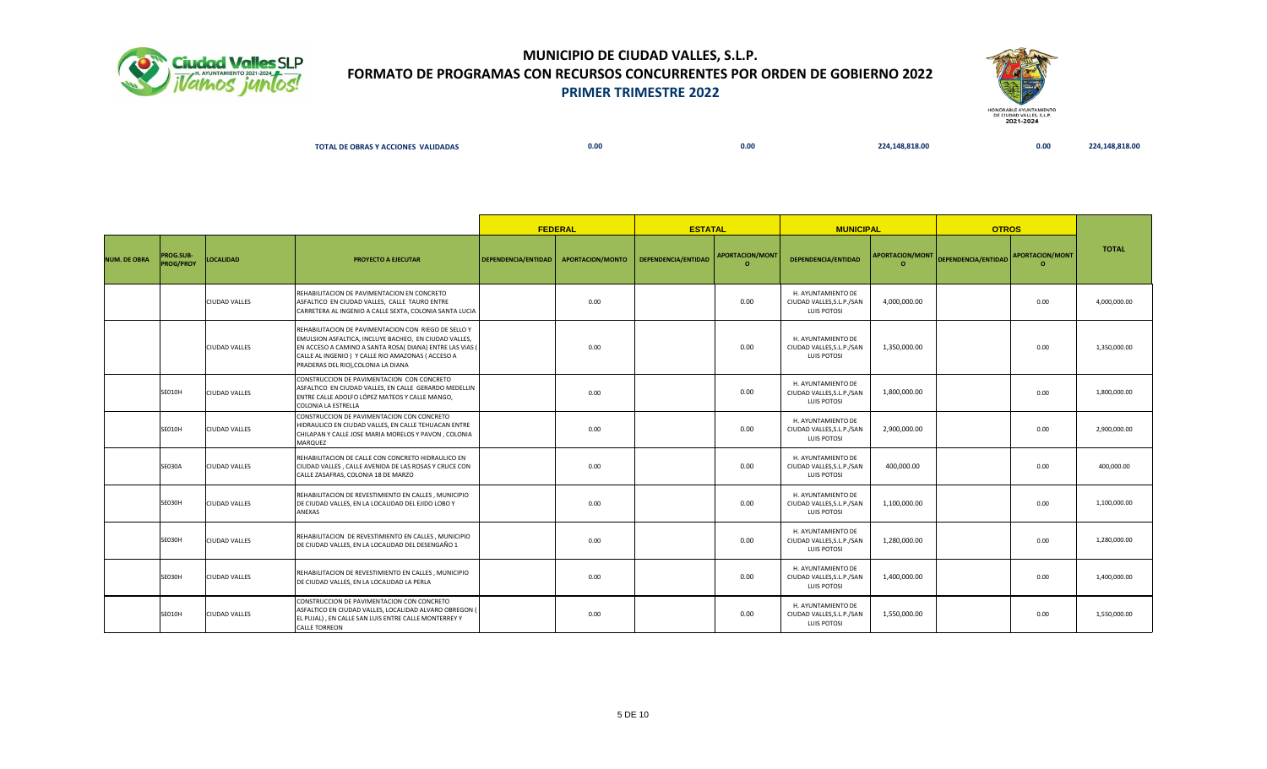



| _______ |  | <b>TY ACCIONES VALIDADAS</b><br>TOT.<br>$\epsilon$ OBRAS Y | 0.00 | 0.00 | 48.818.00 | 0.00 |  |
|---------|--|------------------------------------------------------------|------|------|-----------|------|--|
|---------|--|------------------------------------------------------------|------|------|-----------|------|--|

|                     |                                      |                      |                                                                                                                                                                                                                                                                      |                     | <b>FEDERAL</b>   | <b>ESTATAL</b>      |                                    | <b>MUNICIPAL</b>                                               |                                    | <b>OTROS</b>               |                                    |              |
|---------------------|--------------------------------------|----------------------|----------------------------------------------------------------------------------------------------------------------------------------------------------------------------------------------------------------------------------------------------------------------|---------------------|------------------|---------------------|------------------------------------|----------------------------------------------------------------|------------------------------------|----------------------------|------------------------------------|--------------|
| <b>NUM. DE OBRA</b> | <b>PROG.SUB-</b><br><b>PROG/PROY</b> | <b>LOCALIDAD</b>     | <b>PROYECTO A EJECUTAR</b>                                                                                                                                                                                                                                           | DEPENDENCIA/ENTIDAD | APORTACION/MONTO | DEPENDENCIA/ENTIDAD | <b>APORTACION/MONT</b><br>$\Omega$ | DEPENDENCIA/ENTIDAD                                            | <b>APORTACION/MONT</b><br>$\Omega$ | <b>DEPENDENCIA/ENTIDAD</b> | <b>APORTACION/MONT</b><br>$\Omega$ | <b>TOTAL</b> |
|                     |                                      | CIUDAD VALLES        | REHABILITACION DE PAVIMENTACION EN CONCRETO<br>ASFALTICO EN CIUDAD VALLES, CALLE TAURO ENTRE<br>CARRETERA AL INGENIO A CALLE SEXTA, COLONIA SANTA LUCIA                                                                                                              |                     | 0.00             |                     | 0.00                               | H. AYUNTAMIENTO DE<br>CIUDAD VALLES, S.L.P./SAN<br>LUIS POTOSI | 4,000,000.00                       |                            | 0.00                               | 4,000,000.00 |
|                     |                                      | <b>CIUDAD VALLES</b> | REHABILITACION DE PAVIMENTACION CON RIEGO DE SELLO Y<br>EMULSION ASFALTICA, INCLUYE BACHEO, EN CIUDAD VALLES,<br>EN ACCESO A CAMINO A SANTA ROSA( DIANA) ENTRE LAS VIAS (<br>CALLE AL INGENIO) Y CALLE RIO AMAZONAS (ACCESO A<br>PRADERAS DEL RIO), COLONIA LA DIANA |                     | 0.00             |                     | 0.00                               | H. AYUNTAMIENTO DE<br>CIUDAD VALLES, S.L.P./SAN<br>LUIS POTOSI | 1,350,000.00                       |                            | 0.00                               | 1.350.000.00 |
|                     | SE010H                               | <b>CIUDAD VALLES</b> | CONSTRUCCION DE PAVIMENTACION CON CONCRETO<br>ASFALTICO EN CIUDAD VALLES. EN CALLE GERARDO MEDELLIN<br>ENTRE CALLE ADOLFO LÓPEZ MATEOS Y CALLE MANGO,<br><b>COLONIA LA ESTRELLA</b>                                                                                  |                     | 0.00             |                     | 0.00                               | H. AYUNTAMIENTO DE<br>CIUDAD VALLES, S.L.P./SAN<br>LUIS POTOSI | 1,800,000.00                       |                            | 0.00                               | 1,800,000.00 |
|                     | SE010H                               | CIUDAD VALLES        | CONSTRUCCION DE PAVIMENTACION CON CONCRETO<br>HIDRAULICO EN CIUDAD VALLES, EN CALLE TEHUACAN ENTRE<br>CHILAPAN Y CALLE JOSE MARIA MORELOS Y PAVON, COLONIA<br>MARQUEZ                                                                                                |                     | 0.00             |                     | 0.00                               | H. AYUNTAMIENTO DE<br>CIUDAD VALLES, S.L.P./SAN<br>LUIS POTOSI | 2,900,000.00                       |                            | 0.00                               | 2,900,000.00 |
|                     | <b>SE030A</b>                        | <b>CIUDAD VALLES</b> | REHABILITACION DE CALLE CON CONCRETO HIDRAULICO EN<br>CIUDAD VALLES . CALLE AVENIDA DE LAS ROSAS Y CRUCE CON<br>CALLE ZASAFRAS. COLONIA 18 DE MARZO                                                                                                                  |                     | 0.00             |                     | 0.00                               | H. AYUNTAMIENTO DE<br>CIUDAD VALLES.S.L.P./SAN<br>LUIS POTOSI  | 400,000.00                         |                            | 0.00                               | 400,000.00   |
|                     | SE030H                               | CIUDAD VALLES        | REHABILITACION DE REVESTIMIENTO EN CALLES, MUNICIPIO<br>DE CIUDAD VALLES, EN LA LOCALIDAD DEL EJIDO LOBO Y<br>ANEXAS                                                                                                                                                 |                     | 0.00             |                     | 0.00                               | H. AYUNTAMIENTO DE<br>CIUDAD VALLES, S.L.P./SAN<br>LUIS POTOSI | 1,100,000.00                       |                            | 0.00                               | 1,100,000.00 |
|                     | SE030H                               | CIUDAD VALLES        | REHABILITACION DE REVESTIMIENTO EN CALLES, MUNICIPIO<br>DE CIUDAD VALLES, EN LA LOCALIDAD DEL DESENGAÑO 1                                                                                                                                                            |                     | 0.00             |                     | 0.00                               | H. AYUNTAMIENTO DE<br>CIUDAD VALLES, S.L.P./SAN<br>LUIS POTOSI | 1,280,000.00                       |                            | 0.00                               | 1,280,000.00 |
|                     | SE030H                               | <b>CIUDAD VALLES</b> | REHABILITACION DE REVESTIMIENTO EN CALLES, MUNICIPIO<br>DE CIUDAD VALLES, EN LA LOCALIDAD LA PERLA                                                                                                                                                                   |                     | 0.00             |                     | 0.00                               | H. AYUNTAMIENTO DE<br>CIUDAD VALLES, S.L.P./SAN<br>LUIS POTOSI | 1,400,000.00                       |                            | 0.00                               | 1,400,000.00 |
|                     | <b>SE010H</b>                        | CIUDAD VALLES        | CONSTRUCCION DE PAVIMENTACION CON CONCRETO<br>ASFALTICO EN CIUDAD VALLES, LOCALIDAD ALVARO OBREGON (<br>EL PUJAL), EN CALLE SAN LUIS ENTRE CALLE MONTERREY Y<br><b>CALLE TORREON</b>                                                                                 |                     | 0.00             |                     | 0.00                               | H. AYUNTAMIENTO DE<br>CIUDAD VALLES, S.L.P./SAN<br>LUIS POTOSI | 1,550,000.00                       |                            | 0.00                               | 1,550,000.00 |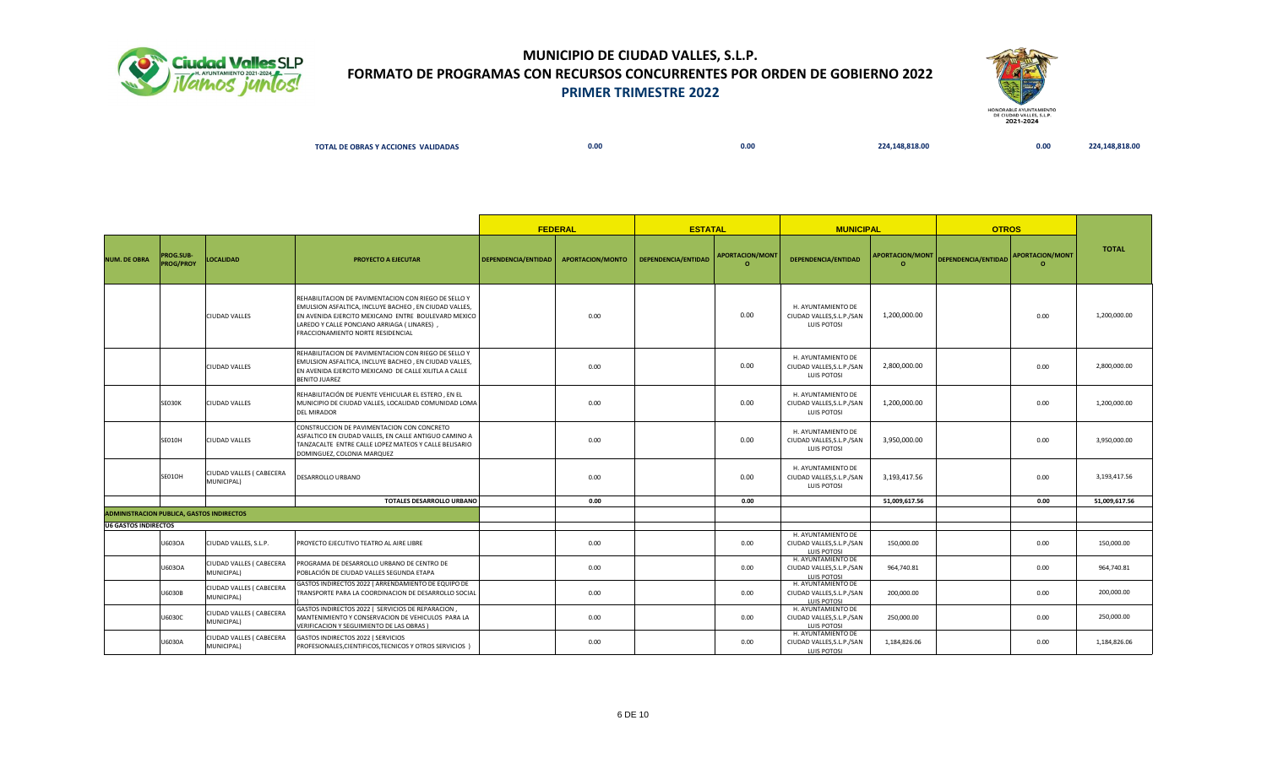



| <b>AL DE OBRAS Y ACCIONES</b><br><b>TOTAL</b><br><b>VALIDADAS</b> | 0.00 | $\overline{ }$<br><b>U.UU</b> | 18.818.00 | 0.00 | $\sim$ $\sim$ $\sim$ |
|-------------------------------------------------------------------|------|-------------------------------|-----------|------|----------------------|
|                                                                   |      |                               |           |      |                      |

|                                                  |                                      | <b>FEDERAL</b>                         |                                                                                                                                                                                                                                                          | <b>ESTATAL</b>      |                  | <b>MUNICIPAL</b>    |                                    | <b>OTROS</b>                                                          |               |                                     |                                   |               |
|--------------------------------------------------|--------------------------------------|----------------------------------------|----------------------------------------------------------------------------------------------------------------------------------------------------------------------------------------------------------------------------------------------------------|---------------------|------------------|---------------------|------------------------------------|-----------------------------------------------------------------------|---------------|-------------------------------------|-----------------------------------|---------------|
| <b>NUM. DE OBRA</b>                              | <b>PROG.SUB-</b><br><b>PROG/PROY</b> | <b>LOCALIDAD</b>                       | PROYECTO A EJECUTAR                                                                                                                                                                                                                                      | DEPENDENCIA/ENTIDAD | APORTACION/MONTO | DEPENDENCIA/ENTIDAD | <b>APORTACION/MONT</b><br>$\Omega$ | DEPENDENCIA/ENTIDAD                                                   |               | APORTACION/MONT DEPENDENCIA/ENTIDAD | <b>APORTACION/MONT</b><br>$\circ$ | <b>TOTAL</b>  |
|                                                  |                                      | <b>CIUDAD VALLES</b>                   | REHABILITACION DE PAVIMENTACION CON RIEGO DE SELLO Y<br>EMULSION ASFALTICA, INCLUYE BACHEO, EN CIUDAD VALLES,<br>EN AVENIDA EJERCITO MEXICANO ENTRE BOULEVARD MEXICO<br>LAREDO Y CALLE PONCIANO ARRIAGA ( LINARES),<br>FRACCIONAMIENTO NORTE RESIDENCIAL |                     | 0.00             |                     | 0.00                               | H. AYUNTAMIENTO DE<br>CIUDAD VALLES, S.L.P./SAN<br>LUIS POTOSI        | 1,200,000.00  |                                     | 0.00                              | 1,200,000.00  |
|                                                  |                                      | <b>CIUDAD VALLES</b>                   | REHABILITACION DE PAVIMENTACION CON RIEGO DE SELLO Y<br>EMULSION ASFALTICA, INCLUYE BACHEO, EN CIUDAD VALLES,<br>EN AVENIDA EJERCITO MEXICANO DE CALLE XILITLA A CALLE<br><b>BENITO JUAREZ</b>                                                           |                     | 0.00             |                     | 0.00                               | H. AYUNTAMIENTO DE<br>CIUDAD VALLES, S.L.P./SAN<br><b>LUIS POTOSI</b> | 2.800.000.00  |                                     | 0.00                              | 2.800.000.00  |
|                                                  | <b>SE030K</b>                        | <b>CIUDAD VALLES</b>                   | REHABILITACIÓN DE PUENTE VEHICULAR EL ESTERO, EN EL<br>MUNICIPIO DE CIUDAD VALLES, LOCALIDAD COMUNIDAD LOMA<br><b>DEL MIRADOR</b>                                                                                                                        |                     | 0.00             |                     | 0.00                               | H. AYUNTAMIENTO DE<br>CIUDAD VALLES, S.L.P./SAN<br>LUIS POTOSI        | 1,200,000.00  |                                     | 0.00                              | 1,200,000.00  |
|                                                  | SE010H                               | CIUDAD VALLES                          | CONSTRUCCION DE PAVIMENTACION CON CONCRETO<br>ASFALTICO EN CIUDAD VALLES, EN CALLE ANTIGUO CAMINO A<br>TANZACALTE ENTRE CALLE LOPEZ MATEOS Y CALLE BELISARIO<br>DOMINGUEZ, COLONIA MARQUEZ                                                               |                     | 0.00             |                     | 0.00                               | H. AYUNTAMIENTO DE<br>CIUDAD VALLES, S.L.P./SAN<br><b>LUIS POTOSI</b> | 3,950,000.00  |                                     | 0.00                              | 3,950,000.00  |
|                                                  | SE01OH                               | CIUDAD VALLES ( CABECERA<br>MUNICIPAL) | DESARROLLO URBANO                                                                                                                                                                                                                                        |                     | 0.00             |                     | 0.00                               | H. AYUNTAMIENTO DE<br>CIUDAD VALLES, S.L.P./SAN<br><b>LUIS POTOSI</b> | 3,193,417.56  |                                     | 0.00                              | 3,193,417.56  |
|                                                  |                                      |                                        | <b>TOTALES DESARROLLO URBANO</b>                                                                                                                                                                                                                         |                     | 0.00             |                     | 0.00                               |                                                                       | 51,009,617.56 |                                     | 0.00                              | 51,009,617.56 |
| <b>ADMINISTRACION PUBLICA, GASTOS INDIRECTOS</b> |                                      |                                        |                                                                                                                                                                                                                                                          |                     |                  |                     |                                    |                                                                       |               |                                     |                                   |               |
| U6 GASTOS INDIRECTOS                             | U603OA                               | CIUDAD VALLES, S.L.P.                  | PROYECTO EJECUTIVO TEATRO AL AIRE LIBRE                                                                                                                                                                                                                  |                     | 0.00             |                     | 0.00                               | H. AYUNTAMIENTO DE<br>CIUDAD VALLES, S.L.P./SAN<br><b>LUIS POTOSI</b> | 150,000.00    |                                     | 0.00                              | 150,000.00    |
|                                                  | U603OA                               | CIUDAD VALLES ( CABECERA<br>MUNICIPAL) | PROGRAMA DE DESARROLLO URBANO DE CENTRO DE<br>POBLACIÓN DE CIUDAD VALLES SEGUNDA ETAPA                                                                                                                                                                   |                     | 0.00             |                     | 0.00                               | H. AYUNTAMIENTO DE<br>CIUDAD VALLES, S.L.P./SAN<br>LUIS POTOSI        | 964,740.81    |                                     | 0.00                              | 964,740.81    |
|                                                  | U6030B                               | CIUDAD VALLES ( CABECERA<br>MUNICIPAL) | GASTOS INDIRECTOS 2022 ( ARRENDAMIENTO DE EQUIPO DE<br>TRANSPORTE PARA LA COORDINACION DE DESARROLLO SOCIAL                                                                                                                                              |                     | 0.00             |                     | 0.00                               | H. AYUNTAMIENTO DE<br>CIUDAD VALLES, S.L.P./SAN<br>LUIS POTOSI        | 200,000.00    |                                     | 0.00                              | 200,000.00    |
|                                                  | U6030C                               | CIUDAD VALLES ( CABECERA<br>MUNICIPAL) | GASTOS INDIRECTOS 2022 ( SERVICIOS DE REPARACION,<br>MANTENIMIENTO Y CONSERVACION DE VEHICULOS PARA LA<br>VERIFICACION Y SEGUIMIENTO DE LAS OBRAS )                                                                                                      |                     | 0.00             |                     | 0.00                               | H. AYUNTAMIENTO DE<br>CIUDAD VALLES, S.L.P./SAN<br><b>LUIS POTOSI</b> | 250,000.00    |                                     | 0.00                              | 250,000.00    |
|                                                  | U6030A                               | CIUDAD VALLES ( CABECERA<br>MUNICIPAL) | GASTOS INDIRECTOS 2022 ( SERVICIOS<br>PROFESIONALES, CIENTIFICOS, TECNICOS Y OTROS SERVICIOS )                                                                                                                                                           |                     | 0.00             |                     | 0.00                               | H. AYUNTAMIENTO DE<br>CIUDAD VALLES, S.L.P./SAN<br>LUIS POTOSI        | 1,184,826.06  |                                     | 0.00                              | 1,184,826.06  |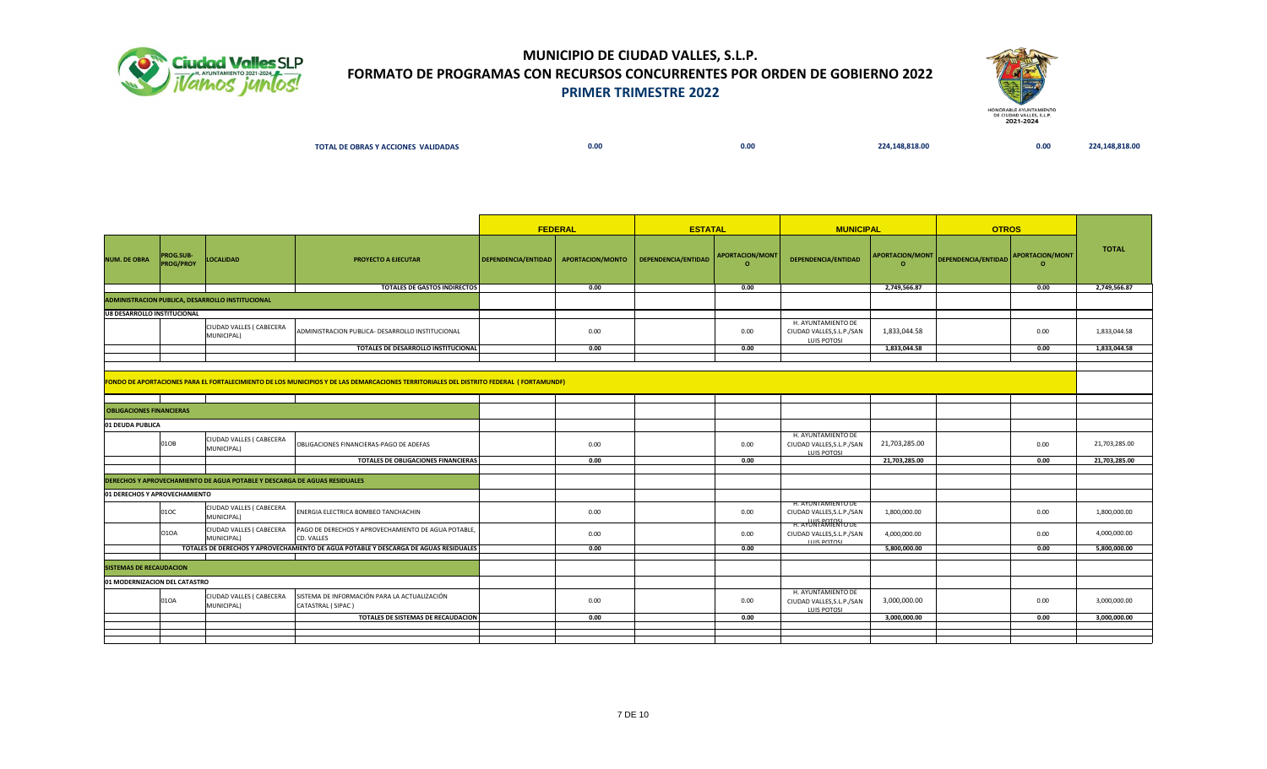



|  |  | <b>L DE OBRAS Y ACCIONES VALIDADAS</b><br>ΤΟΤΑL | ---<br>v.vu | 0.00 | $\sim$ $\sim$ $\sim$<br>7Δ | 0.00 |  |
|--|--|-------------------------------------------------|-------------|------|----------------------------|------|--|
|--|--|-------------------------------------------------|-------------|------|----------------------------|------|--|

|                                 |                               |                                                                                  | <b>FEDERAL</b>                                                                                                                          | <b>ESTATAL</b>                         |                     | <b>MUNICIPAL</b>                   |                                                                        | <b>OTROS</b>               |                                     |         |               |
|---------------------------------|-------------------------------|----------------------------------------------------------------------------------|-----------------------------------------------------------------------------------------------------------------------------------------|----------------------------------------|---------------------|------------------------------------|------------------------------------------------------------------------|----------------------------|-------------------------------------|---------|---------------|
| <b>NUM. DE OBRA</b>             | PROG.SUB-<br><b>PROG/PROY</b> | LOCALIDAD                                                                        | PROYECTO A EJECUTAR                                                                                                                     | DEPENDENCIA/ENTIDAD   APORTACION/MONTO | DEPENDENCIA/ENTIDAD | <b>APORTACION/MONT</b><br>$\Omega$ | DEPENDENCIA/ENTIDAD                                                    | APORTACION/MONT<br>$\circ$ | DEPENDENCIA/ENTIDAD APORTACION/MONT | $\circ$ | <b>TOTAL</b>  |
|                                 |                               |                                                                                  | TOTALES DE GASTOS INDIRECTOS                                                                                                            | 0.00                                   |                     | 0.00                               |                                                                        | 2,749,566.87               |                                     | 0.00    | 2,749,566.87  |
|                                 |                               | ADMINISTRACION PUBLICA, DESARROLLO INSTITUCIONAL                                 |                                                                                                                                         |                                        |                     |                                    |                                                                        |                            |                                     |         |               |
| U8 DESARROLLO INSTITUCIONAL     |                               |                                                                                  |                                                                                                                                         |                                        |                     |                                    |                                                                        |                            |                                     |         |               |
|                                 |                               | CIUDAD VALLES ( CABECERA<br>MUNICIPAL)                                           | ADMINISTRACION PUBLICA- DESARROLLO INSTITUCIONAL                                                                                        | 0.00                                   |                     | 0.00                               | H. AYUNTAMIENTO DE<br>CIUDAD VALLES, S.L.P./SAN<br><b>LUIS POTOSI</b>  | 1,833,044.58               |                                     | 0.00    | 1,833,044.58  |
|                                 |                               |                                                                                  | TOTALES DE DESARROLLO INSTITUCIONAL                                                                                                     | 0.00                                   |                     | 0.00                               |                                                                        | 1,833,044.58               |                                     | 0.00    | 1,833,044.58  |
|                                 |                               |                                                                                  |                                                                                                                                         |                                        |                     |                                    |                                                                        |                            |                                     |         |               |
|                                 |                               |                                                                                  | FONDO DE APORTACIONES PARA EL FORTALECIMIENTO DE LOS MUNICIPIOS Y DE LAS DEMARCACIONES TERRITORIALES DEL DISTRITO FEDERAL ( FORTAMUNDF) |                                        |                     |                                    |                                                                        |                            |                                     |         |               |
|                                 |                               |                                                                                  |                                                                                                                                         |                                        |                     |                                    |                                                                        |                            |                                     |         |               |
| <b>OBLIGACIONES FINANCIERAS</b> |                               |                                                                                  |                                                                                                                                         |                                        |                     |                                    |                                                                        |                            |                                     |         |               |
| 01 DEUDA PUBLICA                |                               |                                                                                  |                                                                                                                                         |                                        |                     |                                    |                                                                        |                            |                                     |         |               |
|                                 | 01OB                          | CIUDAD VALLES ( CABECERA<br>MUNICIPAL)                                           | OBLIGACIONES FINANCIERAS-PAGO DE ADEFAS                                                                                                 | 0.00                                   |                     | 0.00                               | H. AYUNTAMIENTO DE<br>CIUDAD VALLES, S.L.P./SAN<br><b>LUIS POTOSI</b>  | 21,703,285.00              |                                     | 0.00    | 21,703,285.00 |
|                                 |                               |                                                                                  | TOTALES DE OBLIGACIONES FINANCIERAS                                                                                                     | 0.00                                   |                     | 0.00                               |                                                                        | 21,703,285.00              |                                     | 0.00    | 21,703,285.00 |
|                                 |                               |                                                                                  |                                                                                                                                         |                                        |                     |                                    |                                                                        |                            |                                     |         |               |
|                                 |                               | <b>DERECHOS Y APROVECHAMIENTO DE AGUA POTABLE Y DESCARGA DE AGUAS RESIDUALES</b> |                                                                                                                                         |                                        |                     |                                    |                                                                        |                            |                                     |         |               |
| 01 DERECHOS Y APROVECHAMIENTO   |                               |                                                                                  |                                                                                                                                         |                                        |                     |                                    |                                                                        |                            |                                     |         |               |
|                                 | 01OC                          | <b>CIUDAD VALLES ( CABECERA</b><br>MUNICIPAL)                                    | ENERGIA ELECTRICA BOMBEO TANCHACHIN                                                                                                     | 0.00                                   |                     | 0.00                               | H. AYUNTAMIENTO DE<br>CIUDAD VALLES, S.L.P./SAN                        | 1,800,000.00               |                                     | 0.00    | 1,800,000.00  |
|                                 | 010A                          | CIUDAD VALLES ( CABECERA<br>MUNICIPAL)                                           | PAGO DE DERECHOS Y APROVECHAMIENTO DE AGUA POTABLE,<br>CD. VALLES                                                                       | 0.00                                   |                     | 0.00                               | H. AYUNTAMIENTO DE<br>CIUDAD VALLES, S.L.P./SAN<br><b>ILIIS DOTOSI</b> | 4,000,000.00               |                                     | 0.00    | 4,000,000.00  |
|                                 |                               |                                                                                  | TOTALES DE DERECHOS Y APROVECHAMIENTO DE AGUA POTABLE Y DESCARGA DE AGUAS RESIDUALES                                                    | 0.00                                   |                     | 0.00                               |                                                                        | 5,800,000.00               |                                     | 0.00    | 5,800,000.00  |
|                                 |                               |                                                                                  |                                                                                                                                         |                                        |                     |                                    |                                                                        |                            |                                     |         |               |
| <b>SISTEMAS DE RECAUDACION</b>  |                               |                                                                                  |                                                                                                                                         |                                        |                     |                                    |                                                                        |                            |                                     |         |               |
| 01 MODERNIZACION DEL CATASTRO   |                               |                                                                                  |                                                                                                                                         |                                        |                     |                                    |                                                                        |                            |                                     |         |               |
|                                 | 01OA                          | CIUDAD VALLES ( CABECERA<br>MUNICIPAL)                                           | SISTEMA DE INFORMACIÓN PARA LA ACTUALIZACIÓN<br>CATASTRAL (SIPAC)                                                                       | 0.00                                   |                     | 0.00                               | H. AYUNTAMIENTO DE<br>CIUDAD VALLES, S.L.P./SAN<br>LUIS POTOSI         | 3,000,000.00               |                                     | 0.00    | 3,000,000.00  |
|                                 |                               |                                                                                  | TOTALES DE SISTEMAS DE RECAUDACION                                                                                                      | 0.00                                   |                     | 0.00                               |                                                                        | 3,000,000.00               |                                     | 0.00    | 3,000,000.00  |
|                                 |                               |                                                                                  |                                                                                                                                         |                                        |                     |                                    |                                                                        |                            |                                     |         |               |
|                                 |                               |                                                                                  |                                                                                                                                         |                                        |                     |                                    |                                                                        |                            |                                     |         |               |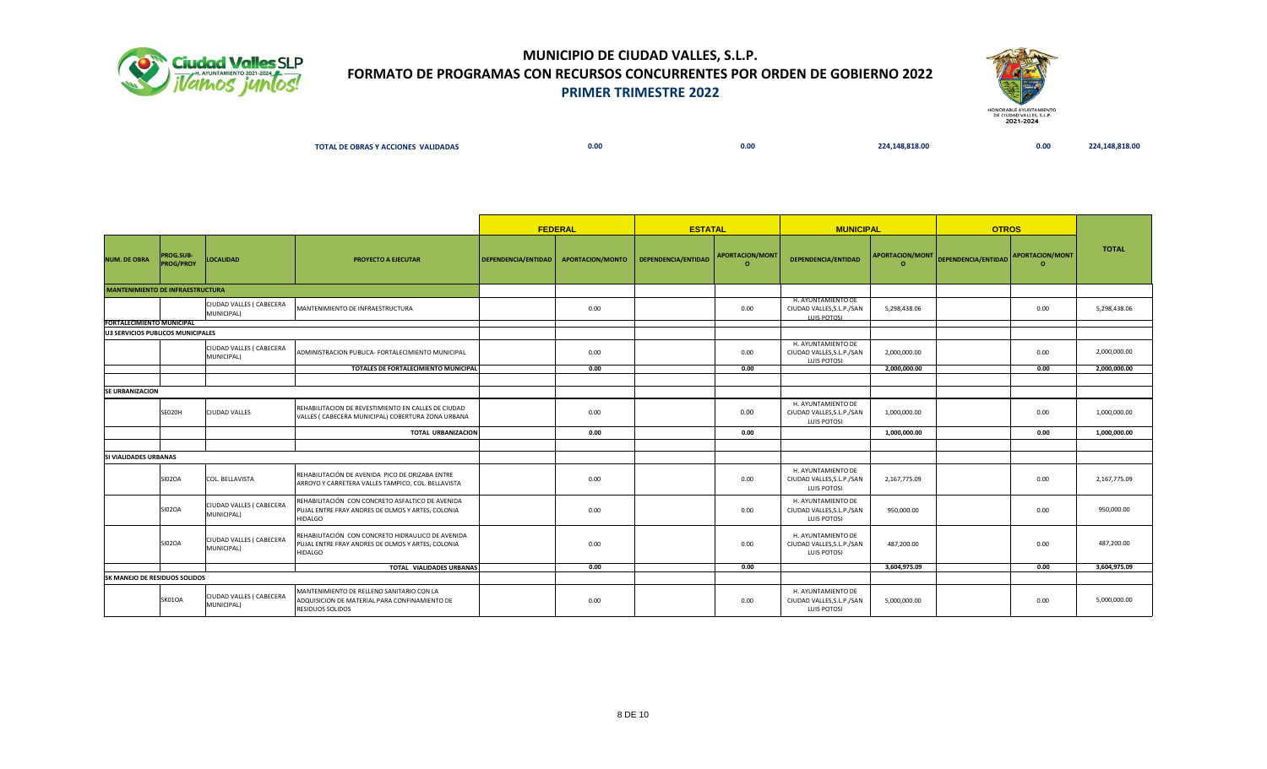



| <b>L DE OBRAS Y ACCIONES VALIDADAS</b><br>ТОТА. | 0.00 | 0.00 | 224.148.818.00 | 0.00 |  |
|-------------------------------------------------|------|------|----------------|------|--|
|                                                 |      |      |                |      |  |

|                                   |                                      |                                        | <b>FEDERAL</b>                                                                                                           | <b>ESTATAL</b>      |                  | <b>MUNICIPAL</b>    |                                    | <b>OTROS</b>                                                          |                                    |                     |                                    |              |
|-----------------------------------|--------------------------------------|----------------------------------------|--------------------------------------------------------------------------------------------------------------------------|---------------------|------------------|---------------------|------------------------------------|-----------------------------------------------------------------------|------------------------------------|---------------------|------------------------------------|--------------|
| <b>NUM. DE OBRA</b>               | <b>PROG.SUB-</b><br><b>PROG/PROY</b> | <b>LOCALIDAD</b>                       | <b>PROYECTO A EJECUTAR</b>                                                                                               | DEPENDENCIA/ENTIDAD | APORTACION/MONTO | DEPENDENCIA/ENTIDAD | <b>APORTACION/MONT</b><br>$\Omega$ | DEPENDENCIA/ENTIDAD                                                   | <b>APORTACION/MONT</b><br>$\Omega$ | DEPENDENCIA/ENTIDAD | <b>APORTACION/MONT</b><br>$\Omega$ | <b>TOTAL</b> |
| MANTENIMIENTO DE INFRAESTRUCTURA  |                                      |                                        |                                                                                                                          |                     |                  |                     |                                    |                                                                       |                                    |                     |                                    |              |
|                                   |                                      | CIUDAD VALLES ( CABECERA<br>MUNICIPAL) | MANTENIMIENTO DE INFRAESTRUCTURA                                                                                         |                     | 0.00             |                     | 0.00                               | H. AYUNTAMIENTO DE<br>CIUDAD VALLES, S.L.P./SAN<br><b>LUIS POTOSI</b> | 5,298,438.06                       |                     | 0.00                               | 5,298,438.06 |
| <b>FORTALECIMIENTO MUNICIPAL</b>  |                                      |                                        |                                                                                                                          |                     |                  |                     |                                    |                                                                       |                                    |                     |                                    |              |
| U3 SERVICIOS PUBLICOS MUNICIPALES |                                      |                                        |                                                                                                                          |                     |                  |                     |                                    |                                                                       |                                    |                     |                                    |              |
|                                   |                                      | CIUDAD VALLES ( CABECERA<br>MUNICIPAL) | ADMINISTRACION PUBLICA- FORTALECIMIENTO MUNICIPAL                                                                        |                     | 0.00             |                     | 0.00                               | H. AYUNTAMIENTO DE<br>CIUDAD VALLES, S.L.P./SAN<br><b>LUIS POTOSI</b> | 2,000,000.00                       |                     | 0.00                               | 2,000,000.00 |
|                                   |                                      |                                        | TOTALES DE FORTALECIMIENTO MUNICIPAL                                                                                     |                     | 0.00             |                     | 0.00                               |                                                                       | 2,000,000.00                       |                     | 0.00                               | 2.000.000.00 |
|                                   |                                      |                                        |                                                                                                                          |                     |                  |                     |                                    |                                                                       |                                    |                     |                                    |              |
| <b>SE URBANIZACION</b>            |                                      |                                        |                                                                                                                          |                     |                  |                     |                                    |                                                                       |                                    |                     |                                    |              |
|                                   | SE020H                               | <b>CIUDAD VALLES</b>                   | REHABILITACION DE REVESTIMIENTO EN CALLES DE CIUDAD<br>VALLES ( CABECERA MUNICIPAL) COBERTURA ZONA URBANA                |                     | 0.00             |                     | 0.00                               | H. AYUNTAMIENTO DE<br>CIUDAD VALLES, S.L.P./SAN<br>LUIS POTOSI        | 1,000,000.00                       |                     | 0.00                               | 1,000,000.00 |
|                                   |                                      |                                        | <b>TOTAL URBANIZACION</b>                                                                                                |                     | 0.00             |                     | 0.00                               |                                                                       | 1,000,000.00                       |                     | 0.00                               | 1,000,000.00 |
|                                   |                                      |                                        |                                                                                                                          |                     |                  |                     |                                    |                                                                       |                                    |                     |                                    |              |
| <b>SI VIALIDADES URBANAS</b>      |                                      |                                        |                                                                                                                          |                     |                  |                     |                                    |                                                                       |                                    |                     |                                    |              |
|                                   | <b>SI02OA</b>                        | COL. BELLAVISTA                        | REHABILITACIÓN DE AVENIDA PICO DE ORIZABA ENTRE<br>ARROYO Y CARRETERA VALLES TAMPICO, COL. BELLAVISTA                    |                     | 0.00             |                     | 0.00                               | H. AYUNTAMIENTO DE<br>CIUDAD VALLES, S.L.P./SAN<br>LUIS POTOSI        | 2,167,775.09                       |                     | 0.00                               | 2,167,775.09 |
|                                   | <b>SI02OA</b>                        | CIUDAD VALLES ( CABECERA<br>MUNICIPAL) | REHABILITACIÓN CON CONCRETO ASFALTICO DE AVENIDA<br>PUJAL ENTRE FRAY ANDRES DE OLMOS Y ARTES, COLONIA<br><b>HIDALGO</b>  |                     | 0.00             |                     | 0.00                               | H. AYUNTAMIENTO DE<br>CIUDAD VALLES, S.L.P./SAN<br>LUIS POTOSI        | 950,000.00                         |                     | 0.00                               | 950,000.00   |
|                                   | <b>SI02OA</b>                        | CIUDAD VALLES ( CABECERA<br>MUNICIPAL) | REHABILITACIÓN CON CONCRETO HIDRAULICO DE AVENIDA<br>PUJAL ENTRE FRAY ANDRES DE OLMOS Y ARTES, COLONIA<br><b>HIDALGO</b> |                     | 0.00             |                     | 0.00                               | H. AYUNTAMIENTO DE<br>CIUDAD VALLES, S.L.P./SAN<br>LUIS POTOSI        | 487,200.00                         |                     | 0.00                               | 487,200.00   |
|                                   |                                      |                                        | TOTAL VIALIDADES URBANAS                                                                                                 |                     | 0.00             |                     | 0.00                               |                                                                       | 3,604,975.09                       |                     | 0.00                               | 3,604,975.09 |
| SK MANEJO DE RESIDUOS SOLIDOS     |                                      |                                        |                                                                                                                          |                     |                  |                     |                                    |                                                                       |                                    |                     |                                    |              |
|                                   | SK01OA                               | CIUDAD VALLES ( CABECERA<br>MUNICIPAL) | MANTENIMIENTO DE RELLENO SANITARIO CON LA<br>ADQUISICION DE MATERIAL PARA CONFINAMIENTO DE<br><b>RESIDUOS SOLIDOS</b>    |                     | 0.00             |                     | 0.00                               | H. AYUNTAMIENTO DE<br>CIUDAD VALLES, S.L.P./SAN<br><b>LUIS POTOSI</b> | 5,000,000.00                       |                     | 0.00                               | 5,000,000.00 |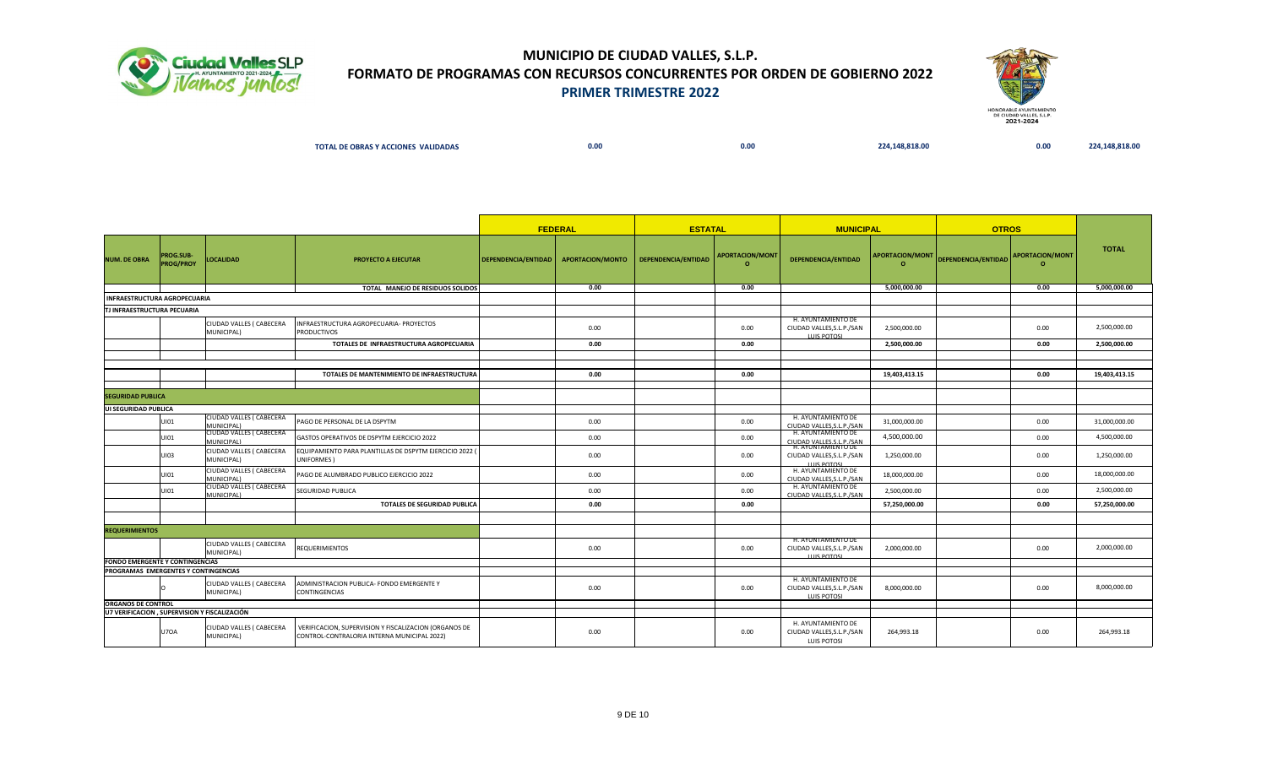



| <b>TOTAL</b><br><b>L DE OBRAS Y ACCIONES VALIDADAS</b> | 0.00 | 0.00 | 0.818.00 | 0.00 | _____ |
|--------------------------------------------------------|------|------|----------|------|-------|
|                                                        |      |      |          |      |       |

|                                              |                                      |                                               |                                                                                                      |                                        | <b>FEDERAL</b> | <b>ESTATAL</b>      |                                    | <b>MUNICIPAL</b>                                                      |                             | <b>OTROS</b>                        |         |               |
|----------------------------------------------|--------------------------------------|-----------------------------------------------|------------------------------------------------------------------------------------------------------|----------------------------------------|----------------|---------------------|------------------------------------|-----------------------------------------------------------------------|-----------------------------|-------------------------------------|---------|---------------|
| <b>NUM. DE OBRA</b>                          | <b>PROG.SUB-</b><br><b>PROG/PROY</b> | <b>LOCALIDAD</b>                              | <b>PROYECTO A EJECUTAR</b>                                                                           | DEPENDENCIA/ENTIDAD   APORTACION/MONTO |                | DEPENDENCIA/ENTIDAD | <b>APORTACION/MONT</b><br>$\Omega$ | DEPENDENCIA/ENTIDAD                                                   | APORTACION/MONT<br>$\Omega$ | DEPENDENCIA/ENTIDAD APORTACION/MONT | $\circ$ | <b>TOTAL</b>  |
|                                              |                                      |                                               | TOTAL MANEJO DE RESIDUOS SOLIDOS                                                                     |                                        | 0.00           |                     | 0.00                               |                                                                       | 5,000,000.00                |                                     | 0.00    | 5,000,000.00  |
| INFRAESTRUCTURA AGROPECUARIA                 |                                      |                                               |                                                                                                      |                                        |                |                     |                                    |                                                                       |                             |                                     |         |               |
| TJ INFRAESTRUCTURA PECUARIA                  |                                      |                                               |                                                                                                      |                                        |                |                     |                                    |                                                                       |                             |                                     |         |               |
|                                              |                                      | CIUDAD VALLES ( CABECERA<br>MUNICIPAL)        | INFRAESTRUCTURA AGROPECUARIA- PROYECTOS<br><b>PRODUCTIVOS</b>                                        |                                        | 0.00           |                     | 0.00                               | H. AYUNTAMIENTO DE<br>CIUDAD VALLES, S.L.P./SAN<br><b>LUIS DOTOSI</b> | 2.500.000.00                |                                     | 0.00    | 2,500,000.00  |
|                                              |                                      |                                               | TOTALES DE INFRAESTRUCTURA AGROPECUARIA                                                              |                                        | 0.00           |                     | 0.00                               |                                                                       | 2,500,000.00                |                                     | 0.00    | 2,500,000.00  |
|                                              |                                      |                                               |                                                                                                      |                                        |                |                     |                                    |                                                                       |                             |                                     |         |               |
|                                              |                                      |                                               |                                                                                                      |                                        |                |                     |                                    |                                                                       |                             |                                     |         |               |
|                                              |                                      |                                               | TOTALES DE MANTENIMIENTO DE INFRAESTRUCTURA                                                          |                                        | 0.00           |                     | 0.00                               |                                                                       | 19,403,413.15               |                                     | 0.00    | 19,403,413.15 |
|                                              |                                      |                                               |                                                                                                      |                                        |                |                     |                                    |                                                                       |                             |                                     |         |               |
| <b>SEGURIDAD PUBLICA</b>                     |                                      |                                               |                                                                                                      |                                        |                |                     |                                    |                                                                       |                             |                                     |         |               |
| UI SEGURIDAD PUBLICA                         |                                      |                                               |                                                                                                      |                                        |                |                     |                                    |                                                                       |                             |                                     |         |               |
|                                              | UI01                                 | CIUDAD VALLES ( CABECERA<br>MUNICIPAL)        | PAGO DE PERSONAL DE LA DSPYTM                                                                        |                                        | 0.00           |                     | 0.00                               | H. AYUNTAMIENTO DE<br>CIUDAD VALLES.S.L.P./SAN                        | 31,000,000.00               |                                     | 0.00    | 31,000,000.00 |
|                                              | UI01                                 | CIUDAD VALLES ( CABECERA<br>MUNICIPAL)        | GASTOS OPERATIVOS DE DSPYTM EJERCICIO 2022                                                           |                                        | 0.00           |                     | 0.00                               | H. AYUNTAMIENTO DE<br>CIUDAD VALLES S.L.P./SAN                        | 4,500,000.00                |                                     | 0.00    | 4,500,000.00  |
|                                              | UI03                                 | CIUDAD VALLES ( CABECERA<br>MUNICIPAL)        | EQUIPAMIENTO PARA PLANTILLAS DE DSPYTM EJERCICIO 2022 (<br>UNIFORMES)                                |                                        | 0.00           |                     | 0.00                               | CIUDAD VALLES, S.L.P./SAN<br><b>LUIS POTOSL</b>                       | 1,250,000.00                |                                     | 0.00    | 1,250,000.00  |
|                                              | UI01                                 | CIUDAD VALLES ( CABECERA<br>MUNICIPAL)        | PAGO DE ALUMBRADO PUBLICO EJERCICIO 2022                                                             |                                        | 0.00           |                     | 0.00                               | H. AYUNTAMIENTO DE<br>CIUDAD VALLES, S.L.P./SAN                       | 18,000,000.00               |                                     | 0.00    | 18,000,000.00 |
|                                              | UI01                                 | <b>CIUDAD VALLES ( CABECERA</b><br>MUNICIPAL) | <b>SEGURIDAD PUBLICA</b>                                                                             |                                        | 0.00           |                     | 0.00                               | H. AYUNTAMIENTO DE<br>CIUDAD VALLES S.L.P./SAN                        | 2,500,000.00                |                                     | 0.00    | 2,500,000.00  |
|                                              |                                      |                                               | TOTALES DE SEGURIDAD PUBLICA                                                                         |                                        | 0.00           |                     | 0.00                               |                                                                       | 57,250,000.00               |                                     | 0.00    | 57,250,000.00 |
|                                              |                                      |                                               |                                                                                                      |                                        |                |                     |                                    |                                                                       |                             |                                     |         |               |
| <b>REQUERIMIENTOS</b>                        |                                      |                                               |                                                                                                      |                                        |                |                     |                                    |                                                                       |                             |                                     |         |               |
|                                              |                                      | CIUDAD VALLES ( CABECERA<br>MUNICIPAL)        | <b>REQUERIMIENTOS</b>                                                                                |                                        | 0.00           |                     | 0.00                               | H. AYUNTAMIENTO DE<br>CIUDAD VALLES, S.L.P./SAN                       | 2,000,000.00                |                                     | 0.00    | 2,000,000.00  |
| <b>FONDO EMERGENTE Y CONTINGENCIAS</b>       |                                      |                                               |                                                                                                      |                                        |                |                     |                                    | LUIC BOTOCI                                                           |                             |                                     |         |               |
| PROGRAMAS EMERGENTES Y CONTINGENCIAS         |                                      |                                               |                                                                                                      |                                        |                |                     |                                    |                                                                       |                             |                                     |         |               |
|                                              |                                      | CIUDAD VALLES ( CABECERA<br>MUNICIPAL)        | ADMINISTRACION PUBLICA- FONDO EMERGENTE Y<br><b>CONTINGENCIAS</b>                                    |                                        | 0.00           |                     | 0.00                               | H. AYUNTAMIENTO DE<br>CIUDAD VALLES, S.L.P./SAN<br>LUIS POTOSI        | 8,000,000.00                |                                     | 0.00    | 8,000,000.00  |
| <b>ORGANOS DE CONTROL</b>                    |                                      |                                               |                                                                                                      |                                        |                |                     |                                    |                                                                       |                             |                                     |         |               |
| U7 VERIFICACION, SUPERVISION Y FISCALIZACIÓN |                                      |                                               |                                                                                                      |                                        |                |                     |                                    |                                                                       |                             |                                     |         |               |
|                                              | <b>U70A</b>                          | CIUDAD VALLES ( CABECERA<br>MUNICIPAL)        | VERIFICACION, SUPERVISION Y FISCALIZACION (ORGANOS DE<br>CONTROL-CONTRALORIA INTERNA MUNICIPAL 2022) |                                        | 0.00           |                     | 0.00                               | H. AYUNTAMIENTO DE<br>CIUDAD VALLES, S.L.P./SAN<br>LUIS POTOSI        | 264,993.18                  |                                     | 0.00    | 264,993.18    |